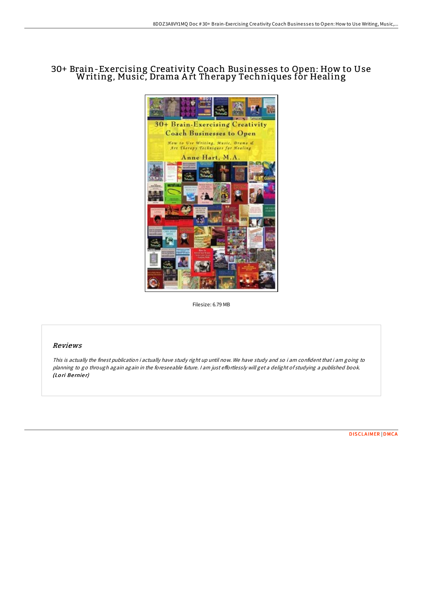# 30+ Brain-Exercising Creativity Coach Businesses to Open: How to Use Writing, Music, Drama A rt Therapy Techniques for Healing



Filesize: 6.79 MB

## Reviews

This is actually the finest publication i actually have study right up until now. We have study and so i am confident that i am going to planning to go through again again in the foreseeable future. I am just effortlessly will get a delight of studying a published book. (Lori Bernier)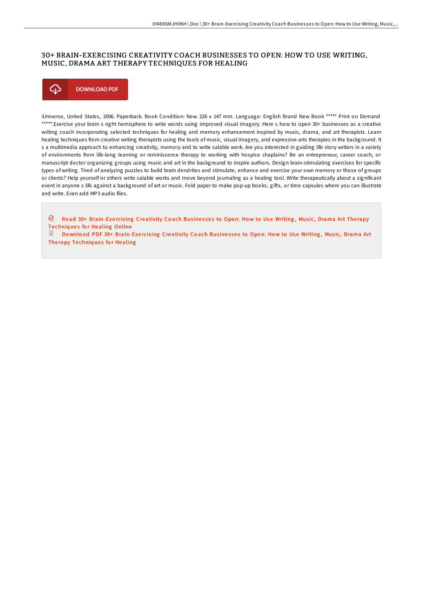## 30+ BRAIN-EXERCISING CREATIVITY COACH BUSINESSES TO OPEN: HOW TO USE WRITING, MUSIC, DRAMA ART THERAPY TECHNIQUES FOR HEALING



iUniverse, United States, 2006. Paperback. Book Condition: New. 226 x 147 mm. Language: English Brand New Book \*\*\*\*\* Print on Demand \*\*\*\*\*.Exercise your brain s right hemisphere to write words using improved visual imagery. Here s how to open 30+ businesses as a creative writing coach incorporating selected techniques for healing and memory enhancement inspired by music, drama, and art therapists. Learn healing techniques from creative writing therapists using the tools of music, visual imagery, and expressive arts therapies in the background. It s a multimedia approach to enhancing creativity, memory and to write salable work. Are you interested in guiding life story writers in a variety of environments from life-long learning or reminiscence therapy to working with hospice chaplains? Be an entrepreneur, career coach, or manuscript doctor organizing groups using music and art in the background to inspire authors. Design brain-stimulating exercises for specific types of writing. Tired of analyzing puzzles to build brain dendrites and stimulate, enhance and exercise your own memory or those of groups or clients? Help yourself or others write salable works and move beyond journaling as a healing tool. Write therapeutically about a significant event in anyone s life against a background of art or music. Fold paper to make pop-up books, gifts, or time capsules where you can illustrate and write. Even add MP3 audio files.

<sup>画</sup> Read 30+ Brain-Exercising [Creativity](http://almighty24.tech/30-brain-exercising-creativity-coach-businesses-.html) Coach Businesses to Open: How to Use Writing, Music, Drama Art Therapy **Techniques for Healing Online** 

Download PDF 30+ Brain-Exercising [Creativity](http://almighty24.tech/30-brain-exercising-creativity-coach-businesses-.html) Coach Businesses to Open: How to Use Writing, Music, Drama Art Therapy Techniques for Healing